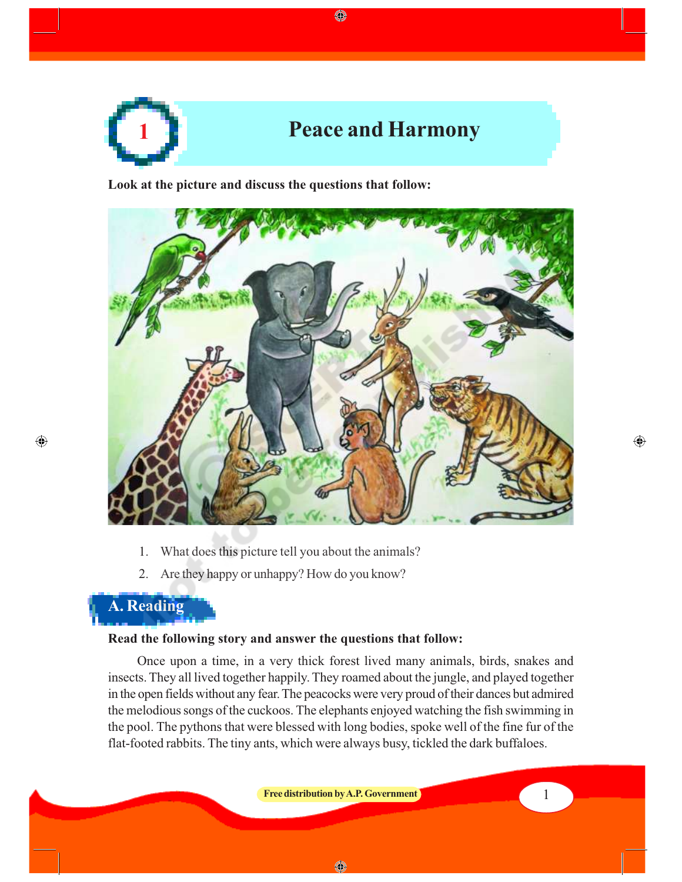

◈

**Look at the picture and discuss the questions that follow:**



- 1. What does this picture tell you about the animals?
- 2. Are they happy or unhappy? How do you know?

# **A. Reading**

 $\bigoplus$ 

# **Read the following story and answer the questions that follow:**

Once upon a time, in a very thick forest lived many animals, birds, snakes and insects. They all lived together happily. They roamed about the jungle, and played together in the open fields without any fear. The peacocks were very proud of their dances but admired the melodious songs of the cuckoos. The elephants enjoyed watching the fish swimming in the pool. The pythons that were blessed with long bodies, spoke well of the fine fur of the flat-footed rabbits. The tiny ants, which were always busy, tickled the dark buffaloes.

**Free distribution by A.P. Government** 1

◈

 $\bigoplus$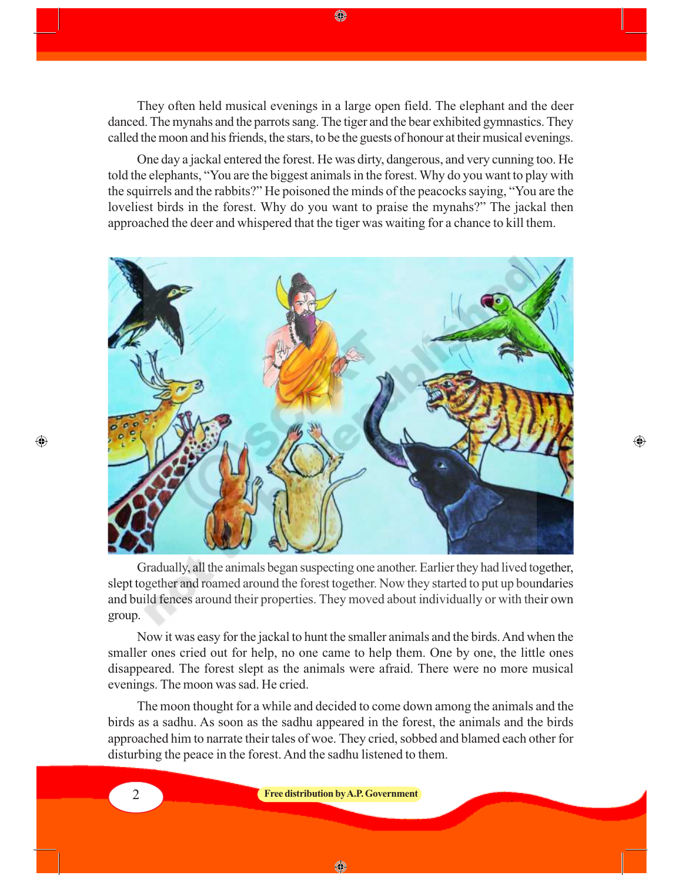They often held musical evenings in a large open field. The elephant and the deer danced. The mynahs and the parrots sang. The tiger and the bear exhibited gymnastics. They called the moon and his friends, the stars, to be the guests of honour at their musical evenings.

⊕

One day a jackal entered the forest. He was dirty, dangerous, and very cunning too. He told the elephants, "You are the biggest animals in the forest. Why do you want to play with the squirrels and the rabbits?" He poisoned the minds of the peacocks saying, "You are the loveliest birds in the forest. Why do you want to praise the mynahs?" The jackal then approached the deer and whispered that the tiger was waiting for a chance to kill them.



⊕

Gradually, all the animals began suspecting one another. Earlier they had lived together, slept together and roamed around the forest together. Now they started to put up boundaries and build fences around their properties. They moved about individually or with their own group.

Now it was easy for the jackal to hunt the smaller animals and the birds. And when the smaller ones cried out for help, no one came to help them. One by one, the little ones disappeared. The forest slept as the animals were afraid. There were no more musical evenings. The moon was sad. He cried.

The moon thought for a while and decided to come down among the animals and the birds as a sadhu. As soon as the sadhu appeared in the forest, the animals and the birds approached him to narrate their tales of woe. They cried, sobbed and blamed each other for disturbing the peace in the forest. And the sadhu listened to them.

 $\bm{\mathrm{\odot}}$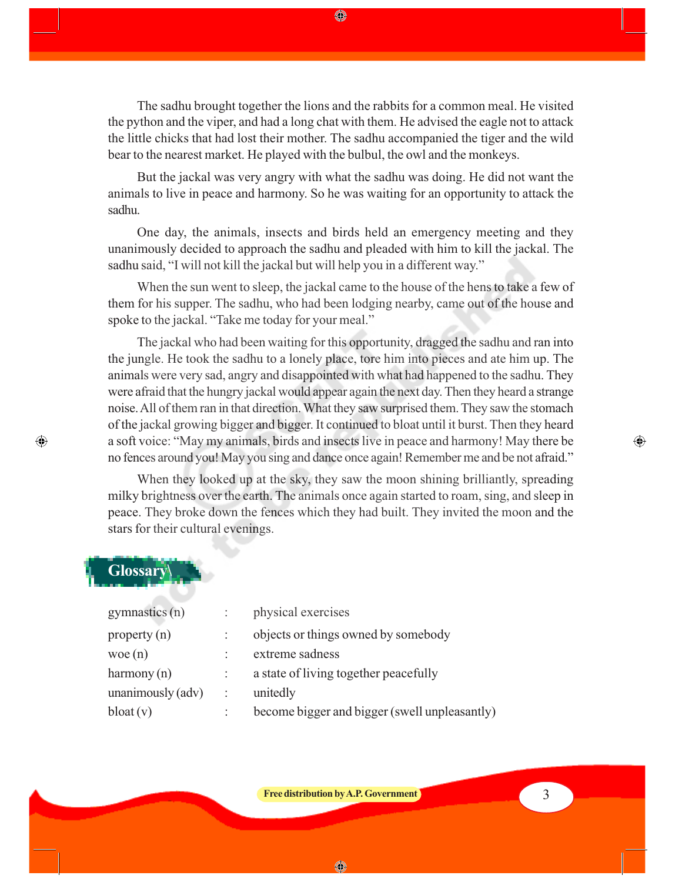The sadhu brought together the lions and the rabbits for a common meal. He visited the python and the viper, and had a long chat with them. He advised the eagle not to attack the little chicks that had lost their mother. The sadhu accompanied the tiger and the wild bear to the nearest market. He played with the bulbul, the owl and the monkeys.

◈

But the jackal was very angry with what the sadhu was doing. He did not want the animals to live in peace and harmony. So he was waiting for an opportunity to attack the sadhu.

One day, the animals, insects and birds held an emergency meeting and they unanimously decided to approach the sadhu and pleaded with him to kill the jackal. The sadhu said, "I will not kill the jackal but will help you in a different way."

When the sun went to sleep, the jackal came to the house of the hens to take a few of them for his supper. The sadhu, who had been lodging nearby, came out of the house and spoke to the jackal. "Take me today for your meal."

The jackal who had been waiting for this opportunity, dragged the sadhu and ran into the jungle. He took the sadhu to a lonely place, tore him into pieces and ate him up. The animals were very sad, angry and disappointed with what had happened to the sadhu. They were afraid that the hungry jackal would appear again the next day. Then they heard a strange noise. All of them ran in that direction. What they saw surprised them. They saw the stomach of the jackal growing bigger and bigger. It continued to bloat until it burst. Then they heard a soft voice: "May my animals, birds and insects live in peace and harmony! May there be no fences around you! May you sing and dance once again! Remember me and be not afraid."

When they looked up at the sky, they saw the moon shining brilliantly, spreading milky brightness over the earth. The animals once again started to roam, sing, and sleep in peace. They broke down the fences which they had built. They invited the moon and the stars for their cultural evenings.

# **Glossary\**

 $\bigcirc$ 

| gymnastics $(n)$             |   | physical exercises                            |
|------------------------------|---|-----------------------------------------------|
| property $(n)$               |   | objects or things owned by somebody           |
| woe $(n)$                    |   | extreme sadness                               |
| harmony $(n)$                |   | a state of living together peacefully         |
| unanimously $(adv)$ :        |   | unitedly                                      |
| $\text{bl}$ oat $(\text{v})$ | ٠ | become bigger and bigger (swell unpleasantly) |

**Free distribution by A.P. Government** 3

 $\bigoplus$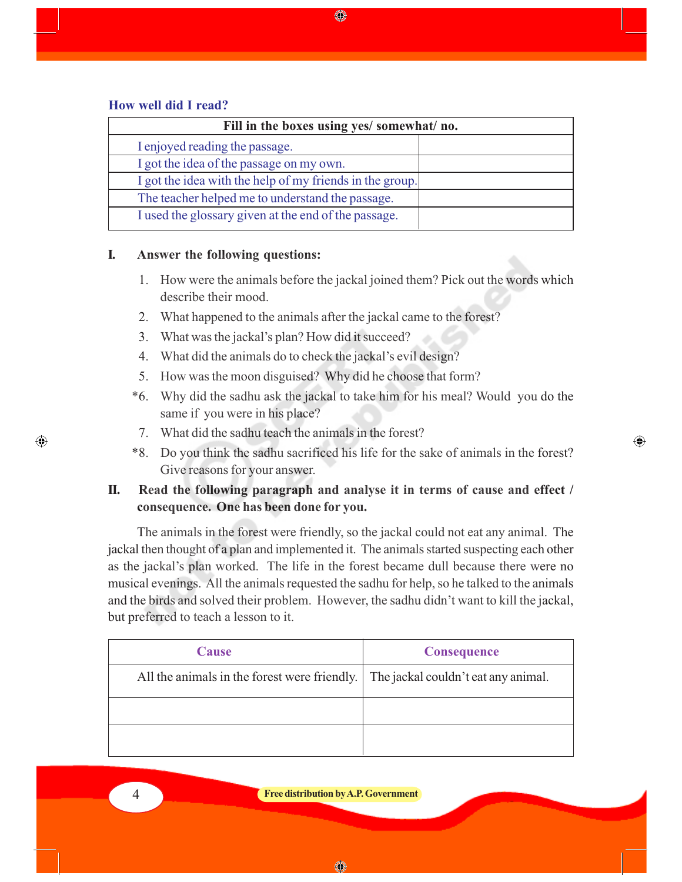#### **How well did I read?**

| Fill in the boxes using yes/ somewhat/ no.               |  |  |
|----------------------------------------------------------|--|--|
| I enjoyed reading the passage.                           |  |  |
| I got the idea of the passage on my own.                 |  |  |
| I got the idea with the help of my friends in the group. |  |  |
| The teacher helped me to understand the passage.         |  |  |
| I used the glossary given at the end of the passage.     |  |  |

◈

### **I. Answer the following questions:**

- 1. How were the animals before the jackal joined them? Pick out the words which describe their mood.
- 2. What happened to the animals after the jackal came to the forest?
- 3. What was the jackal's plan? How did it succeed?
- 4. What did the animals do to check the jackal's evil design?
- 5. How was the moon disguised? Why did he choose that form?
- \*6. Why did the sadhu ask the jackal to take him for his meal? Would you do the same if you were in his place?
- 7. What did the sadhu teach the animals in the forest?
- \*8. Do you think the sadhu sacrificed his life for the sake of animals in the forest? Give reasons for your answer.

 $\bigoplus$ 

# **II. Read the following paragraph and analyse it in terms of cause and effect / consequence. One has been done for you.**

The animals in the forest were friendly, so the jackal could not eat any animal. The jackal then thought of a plan and implemented it. The animals started suspecting each other as the jackal's plan worked. The life in the forest became dull because there were no musical evenings. All the animals requested the sadhu for help, so he talked to the animals and the birds and solved their problem. However, the sadhu didn't want to kill the jackal, but preferred to teach a lesson to it.

| <b>Cause</b>                                                                     | <b>Consequence</b> |
|----------------------------------------------------------------------------------|--------------------|
| All the animals in the forest were friendly. The jackal couldn't eat any animal. |                    |
|                                                                                  |                    |
|                                                                                  |                    |

#### 4 **Free distribution by A.P. Government**

 $\bigcirc$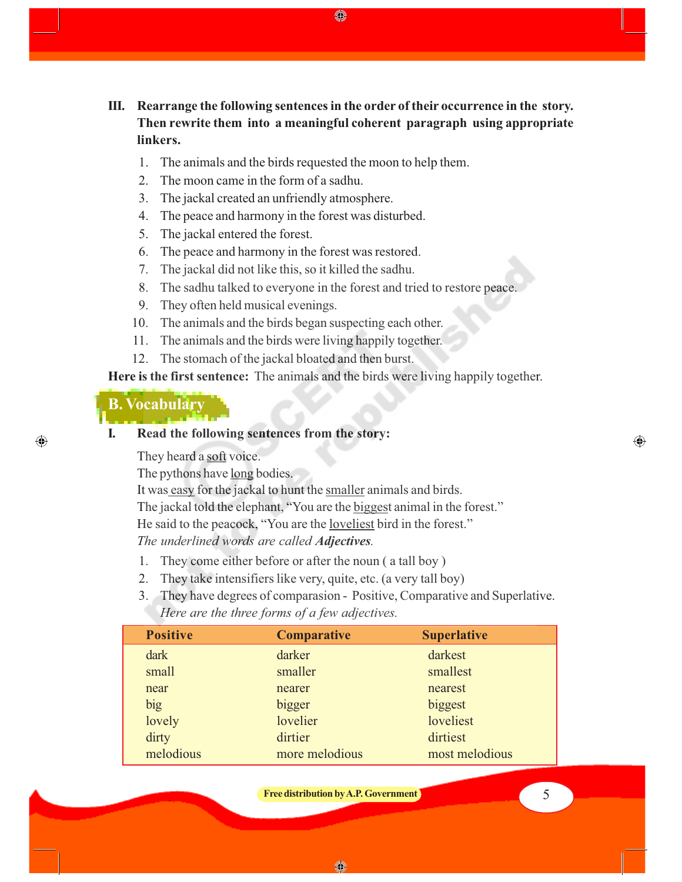**III. Rearrange the following sentences in the order of their occurrence in the story. Then rewrite them into a meaningful coherent paragraph using appropriate linkers.**

◈

- 1. The animals and the birds requested the moon to help them.
- 2. The moon came in the form of a sadhu.
- 3. The jackal created an unfriendly atmosphere.
- 4. The peace and harmony in the forest was disturbed.
- 5. The jackal entered the forest.
- 6. The peace and harmony in the forest was restored.
- 7. The jackal did not like this, so it killed the sadhu.
- 8. The sadhu talked to everyone in the forest and tried to restore peace.
- 9. They often held musical evenings.
- 10. The animals and the birds began suspecting each other.
- 11. The animals and the birds were living happily together.
- 12. The stomach of the jackal bloated and then burst.

**Here is the first sentence:** The animals and the birds were living happily together.

# **B. Vocabulary**

⊕

**I. Read the following sentences from the story:**

They heard a soft voice.

The pythons have long bodies.

It was easy for the jackal to hunt the smaller animals and birds.

The jackal told the elephant, "You are the biggest animal in the forest."

He said to the peacock, "You are the loveliest bird in the forest."

*The underlined words are called Adjectives.*

- 1. They come either before or after the noun ( a tall boy )
- 2. They take intensifiers like very, quite, etc. (a very tall boy)
- 3. They have degrees of comparasion Positive, Comparative and Superlative. *Here are the three forms of a few adjectives.*

| <b>Positive</b> | <b>Comparative</b> | <b>Superlative</b> |
|-----------------|--------------------|--------------------|
| dark            | darker             | darkest            |
| small           | smaller            | smallest           |
| near            | nearer             | nearest            |
| big             | bigger             | biggest            |
| lovely          | lovelier           | loveliest          |
| dirty           | dirtier            | dirtiest           |
| melodious       | more melodious     | most melodious     |

#### **Free distribution by A.P. Government** 5

⊕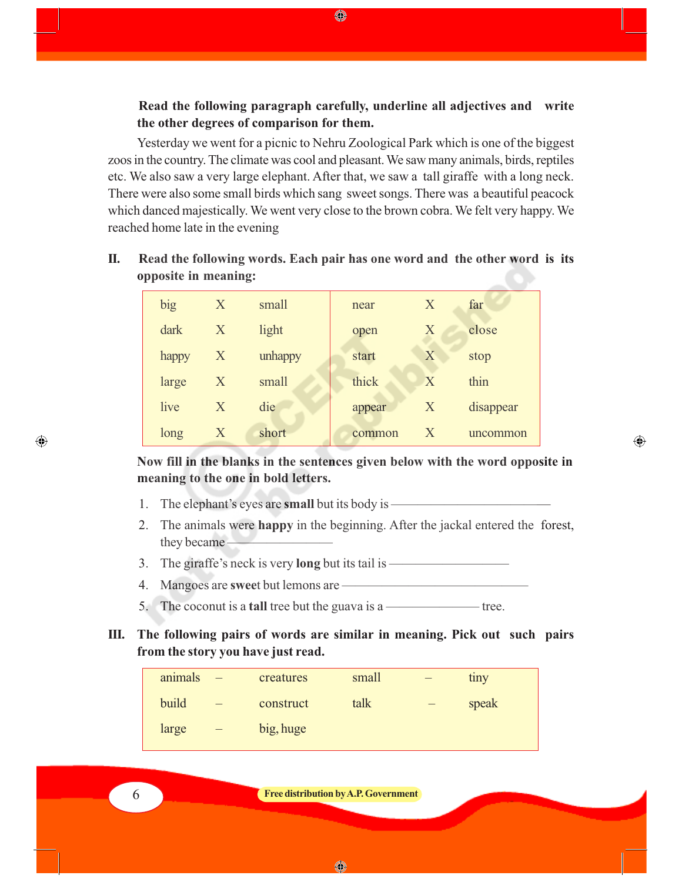# **Read the following paragraph carefully, underline all adjectives and write the other degrees of comparison for them.**

Yesterday we went for a picnic to Nehru Zoological Park which is one of the biggest zoos in the country. The climate was cool and pleasant. We saw many animals, birds, reptiles etc. We also saw a very large elephant. After that, we saw a tall giraffe with a long neck. There were also some small birds which sang sweet songs. There was a beautiful peacock which danced majestically. We went very close to the brown cobra. We felt very happy. We reached home late in the evening

**II. Read the following words. Each pair has one word and the other word is its opposite in meaning:**

| big   | X | small   | near   | X | far       |
|-------|---|---------|--------|---|-----------|
| dark  | X | light   | open   | Χ | close     |
| happy | X | unhappy | start  | X | stop      |
| large | X | small   | thick  | X | thin      |
| live  | X | die     | appear | X | disappear |
| long  | X | short   | common | X | uncommon  |

**Now fill in the blanks in the sentences given below with the word opposite in meaning to the one in bold letters.**

◈

- 1. The elephant's eyes are **small** but its body is ——
- 2. The animals were **happy** in the beginning. After the jackal entered the forest, they became -
- 3. The giraffe's neck is very **long** but its tail is —
- 4. Mangoes are **swee**t but lemons are  $-$
- 5. The coconut is a **tall** tree but the guava is a ——————— tree.
- **III. The following pairs of words are similar in meaning. Pick out such pairs from the story you have just read.**

| animals | creatures | small | tiny  |
|---------|-----------|-------|-------|
| build   | construct | talk  | speak |
| large   | big, huge |       |       |

 $\bigcirc$ 

6 **Free distribution by A.P. Government**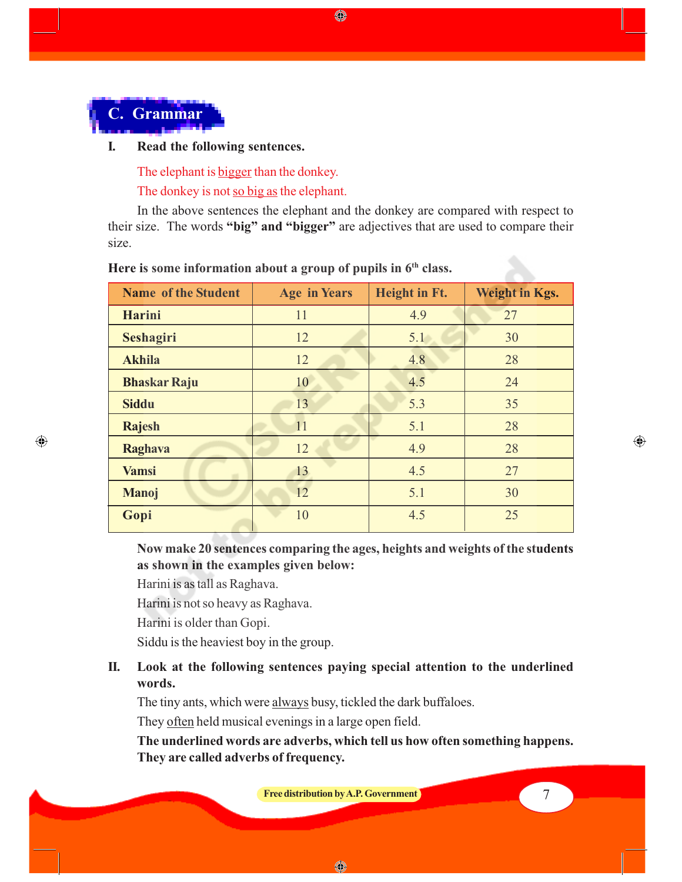

 $\bigoplus$ 

**I. Read the following sentences.**

The elephant is bigger than the donkey. The donkey is not so big as the elephant.

In the above sentences the elephant and the donkey are compared with respect to their size. The words **"big" and "bigger"** are adjectives that are used to compare their size.

◈

| <b>Name of the Student</b> | <b>Age in Years</b> | <b>Height in Ft.</b> | Weight in Kgs. |
|----------------------------|---------------------|----------------------|----------------|
| Harini                     | 11                  | 4.9                  | 27             |
| Seshagiri                  | 12                  | 5.1                  | 30             |
| <b>Akhila</b>              | 12                  | 4.8                  | 28             |
| <b>Bhaskar Raju</b>        | 10                  | 4.5                  | 24             |
| <b>Siddu</b>               | 13                  | 5.3                  | 35             |
| <b>Rajesh</b>              | 11                  | 5.1                  | 28             |
| <b>Raghava</b>             | 12                  | 4.9                  | 28             |
| <b>Vamsi</b>               | 13                  | 4.5                  | 27             |
| <b>Manoj</b>               | 12                  | 5.1                  | 30             |
| Gopi                       | 10                  | 4.5                  | 25             |

#### **Here is some information about a group of pupils in 6th class.**

**Now make 20 sentences comparing the ages, heights and weights of the students as shown in the examples given below:**

Harini is as tall as Raghava.

Harini is not so heavy as Raghava.

Harini is older than Gopi.

Siddu is the heaviest boy in the group.

# **II. Look at the following sentences paying special attention to the underlined words.**

The tiny ants, which were always busy, tickled the dark buffaloes.

They often held musical evenings in a large open field.

**The underlined words are adverbs, which tell us how often something happens. They are called adverbs of frequency.**

**Free distribution by A.P. Government** *Constitution 3* **<b>Participal** 

◈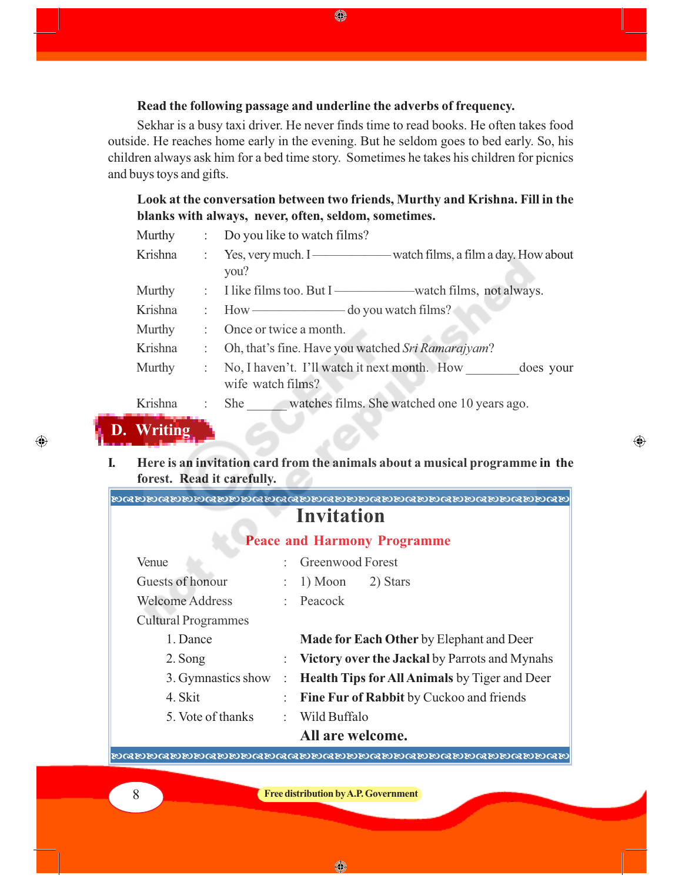## **Read the following passage and underline the adverbs of frequency.**

Sekhar is a busy taxi driver. He never finds time to read books. He often takes food outside. He reaches home early in the evening. But he seldom goes to bed early. So, his children always ask him for a bed time story. Sometimes he takes his children for picnics and buys toys and gifts.

♦

**Look at the conversation between two friends, Murthy and Krishna. Fill in the blanks with always, never, often, seldom, sometimes.**

| Murthy  | t. | Do you like to watch films?                                                    |
|---------|----|--------------------------------------------------------------------------------|
| Krishna |    | Yes, very much. I — watch films, a film a day. How about<br>you?               |
| Murthy  |    |                                                                                |
| Krishna |    | How ————————————————do you watch films?                                        |
| Murthy  |    | Once or twice a month.                                                         |
| Krishna |    | Oh, that's fine. Have you watched Sri Ramarajyam?                              |
| Murthy  |    | No, I haven't. I'll watch it next month. How<br>does your<br>wife watch films? |
| Krishna |    | She watches films. She watched one 10 years ago.                               |

# **D. Writing**

 $\bigoplus$ 

**I. Here is an invitation card from the animals about a musical programme in the forest. Read it carefully.**

 $\bigoplus$ 

| <b>Invitation</b>                  |   |                                                                           |  |  |  |
|------------------------------------|---|---------------------------------------------------------------------------|--|--|--|
| <b>Peace and Harmony Programme</b> |   |                                                                           |  |  |  |
| Venue                              |   | $\therefore$ Greenwood Forest                                             |  |  |  |
| Guests of honour                   |   | $(1)$ Moon 2) Stars                                                       |  |  |  |
| <b>Welcome Address</b>             |   | : Peacock                                                                 |  |  |  |
| <b>Cultural Programmes</b>         |   |                                                                           |  |  |  |
| 1. Dance                           |   | <b>Made for Each Other</b> by Elephant and Deer                           |  |  |  |
| 2. Song                            |   | : Victory over the Jackal by Parrots and Mynahs                           |  |  |  |
|                                    |   | 3. Gymnastics show : <b>Health Tips for All Animals</b> by Tiger and Deer |  |  |  |
| 4. Skit                            | ÷ | Fine Fur of Rabbit by Cuckoo and friends                                  |  |  |  |
| 5. Vote of thanks                  |   | : Wild Buffalo                                                            |  |  |  |
|                                    |   | All are welcome.                                                          |  |  |  |

**EXERABATE EXERCIS DE L'EST L'EST L'EST L'EST L'EST L'EST L'EST L'EST L'EST L'EST L'EST L'EST L'EST L'EST L'EST** 

#### 8 **Free distribution by A.P. Government**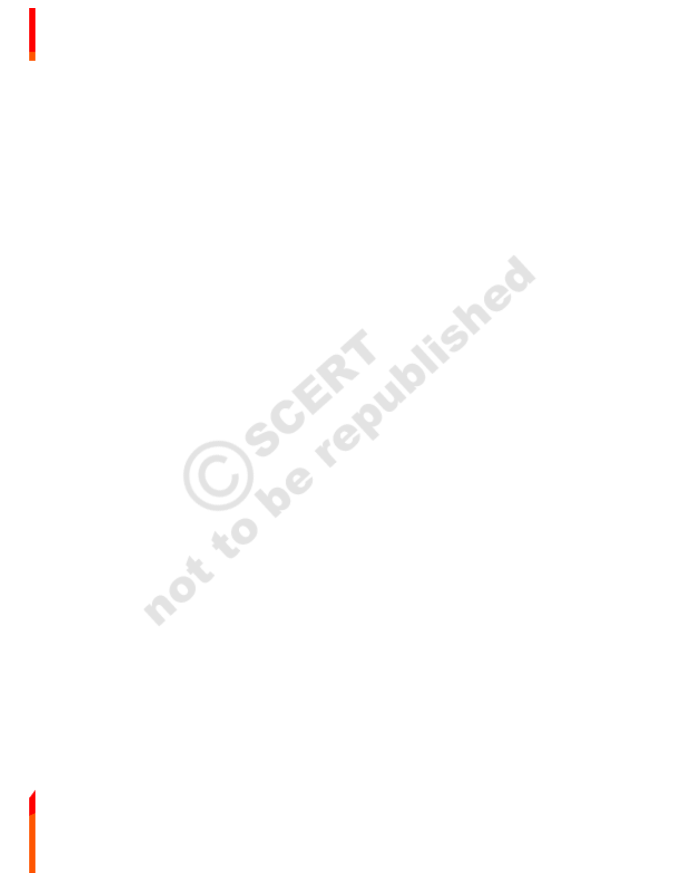not to explore the township the day